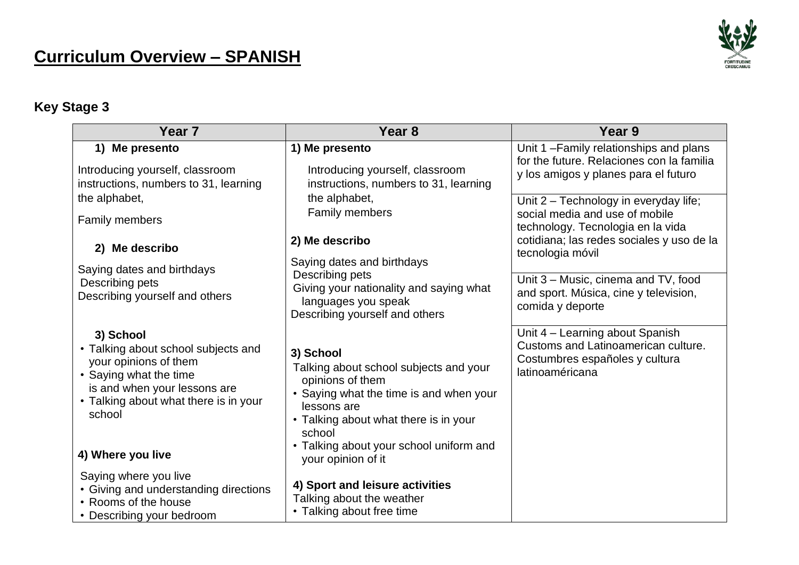# **Curriculum Overview – SPANISH**



## **Key Stage 3**

| Year <sub>7</sub>                                                                                                                                                                      | Year <sub>8</sub>                                                                                                                                                                    | Year 9                                                                                                                      |
|----------------------------------------------------------------------------------------------------------------------------------------------------------------------------------------|--------------------------------------------------------------------------------------------------------------------------------------------------------------------------------------|-----------------------------------------------------------------------------------------------------------------------------|
| 1) Me presento                                                                                                                                                                         | 1) Me presento                                                                                                                                                                       | Unit 1-Family relationships and plans<br>for the future. Relaciones con la familia                                          |
| Introducing yourself, classroom<br>instructions, numbers to 31, learning                                                                                                               | Introducing yourself, classroom<br>instructions, numbers to 31, learning                                                                                                             | y los amigos y planes para el futuro                                                                                        |
| the alphabet,                                                                                                                                                                          | the alphabet,<br>Family members                                                                                                                                                      | Unit 2 - Technology in everyday life;<br>social media and use of mobile                                                     |
| Family members                                                                                                                                                                         |                                                                                                                                                                                      | technology. Tecnologia en la vida                                                                                           |
| 2) Me describo                                                                                                                                                                         | 2) Me describo                                                                                                                                                                       | cotidiana; las redes sociales y uso de la<br>tecnologia móvil                                                               |
| Saying dates and birthdays                                                                                                                                                             | Saying dates and birthdays<br>Describing pets                                                                                                                                        |                                                                                                                             |
| Describing pets<br>Describing yourself and others                                                                                                                                      | Giving your nationality and saying what<br>languages you speak<br>Describing yourself and others                                                                                     | Unit 3 – Music, cinema and TV, food<br>and sport. Música, cine y television,<br>comida y deporte                            |
| 3) School<br>• Talking about school subjects and<br>your opinions of them<br>• Saying what the time<br>is and when your lessons are<br>• Talking about what there is in your<br>school | 3) School<br>Talking about school subjects and your<br>opinions of them<br>• Saying what the time is and when your<br>lessons are<br>• Talking about what there is in your<br>school | Unit 4 - Learning about Spanish<br>Customs and Latinoamerican culture.<br>Costumbres españoles y cultura<br>latinoaméricana |
| 4) Where you live                                                                                                                                                                      | • Talking about your school uniform and<br>your opinion of it                                                                                                                        |                                                                                                                             |
| Saying where you live<br>• Giving and understanding directions<br>• Rooms of the house<br>• Describing your bedroom                                                                    | 4) Sport and leisure activities<br>Talking about the weather<br>• Talking about free time                                                                                            |                                                                                                                             |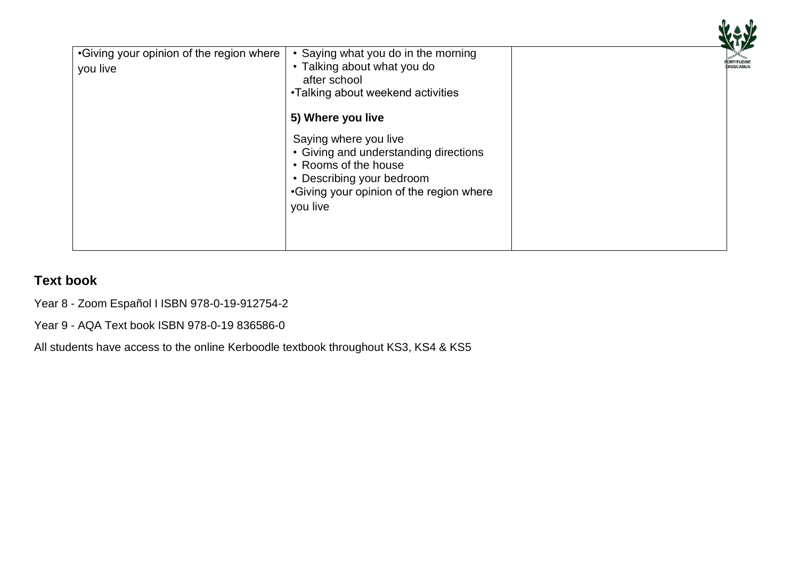

| •Giving your opinion of the region where | • Saying what you do in the morning      |  |
|------------------------------------------|------------------------------------------|--|
| you live                                 | • Talking about what you do              |  |
|                                          | after school                             |  |
|                                          | •Talking about weekend activities        |  |
|                                          |                                          |  |
|                                          | 5) Where you live                        |  |
|                                          | Saying where you live                    |  |
|                                          | • Giving and understanding directions    |  |
|                                          | • Rooms of the house                     |  |
|                                          | • Describing your bedroom                |  |
|                                          | •Giving your opinion of the region where |  |
|                                          | you live                                 |  |
|                                          |                                          |  |
|                                          |                                          |  |
|                                          |                                          |  |

### **Text book**

Year 8 - Zoom Español I ISBN 978-0-19-912754-2

Year 9 - AQA Text book ISBN 978-0-19 836586-0

All students have access to the online Kerboodle textbook throughout KS3, KS4 & KS5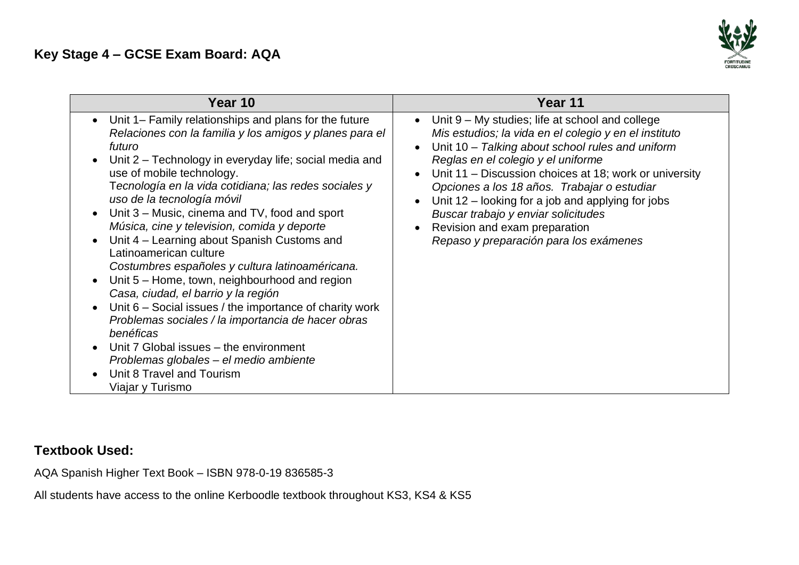### **Key Stage 4 – GCSE Exam Board: AQA**



| Year 10                                                                                                                                                                                                                                                                                                                                                                                                                                                                                                                                                                                                                                                                                                                                                                                                                                                                                           | Year 11                                                                                                                                                                                                                                                                                                                                                                                                                                                                                    |
|---------------------------------------------------------------------------------------------------------------------------------------------------------------------------------------------------------------------------------------------------------------------------------------------------------------------------------------------------------------------------------------------------------------------------------------------------------------------------------------------------------------------------------------------------------------------------------------------------------------------------------------------------------------------------------------------------------------------------------------------------------------------------------------------------------------------------------------------------------------------------------------------------|--------------------------------------------------------------------------------------------------------------------------------------------------------------------------------------------------------------------------------------------------------------------------------------------------------------------------------------------------------------------------------------------------------------------------------------------------------------------------------------------|
| • Unit 1– Family relationships and plans for the future<br>Relaciones con la familia y los amigos y planes para el<br>futuro<br>Unit 2 – Technology in everyday life; social media and<br>use of mobile technology.<br>Tecnología en la vida cotidiana; las redes sociales y<br>uso de la tecnología móvil<br>Unit 3 – Music, cinema and TV, food and sport<br>Música, cine y television, comida y deporte<br>Unit 4 - Learning about Spanish Customs and<br>Latinoamerican culture<br>Costumbres españoles y cultura latinoaméricana.<br>Unit 5 – Home, town, neighbourhood and region<br>Casa, ciudad, el barrio y la región<br>Unit 6 – Social issues / the importance of charity work<br>Problemas sociales / la importancia de hacer obras<br>benéficas<br>Unit 7 Global issues – the environment<br>Problemas globales - el medio ambiente<br>Unit 8 Travel and Tourism<br>Viajar y Turismo | • Unit $9 - My$ studies; life at school and college<br>Mis estudios; la vida en el colegio y en el instituto<br>Unit 10 - Talking about school rules and uniform<br>Reglas en el colegio y el uniforme<br>• Unit 11 – Discussion choices at 18; work or university<br>Opciones a los 18 años. Trabajar o estudiar<br>Unit $12$ – looking for a job and applying for jobs<br>Buscar trabajo y enviar solicitudes<br>Revision and exam preparation<br>Repaso y preparación para los exámenes |

#### **Textbook Used:**

AQA Spanish Higher Text Book – ISBN 978-0-19 836585-3

All students have access to the online Kerboodle textbook throughout KS3, KS4 & KS5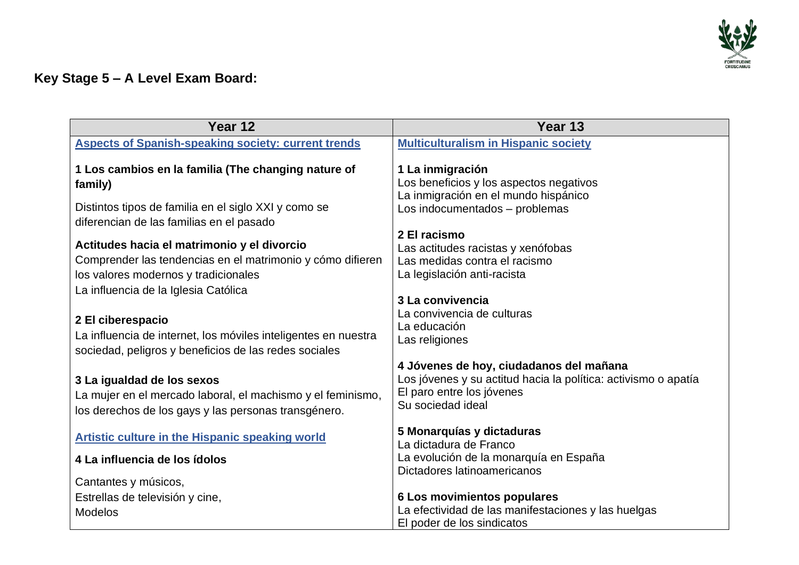

## **Key Stage 5 – A Level Exam Board:**

| Year 12                                                                                                                                                                                                                                                                                                                                   | Year 13                                                                                                                                                                                                |
|-------------------------------------------------------------------------------------------------------------------------------------------------------------------------------------------------------------------------------------------------------------------------------------------------------------------------------------------|--------------------------------------------------------------------------------------------------------------------------------------------------------------------------------------------------------|
| <b>Aspects of Spanish-speaking society: current trends</b>                                                                                                                                                                                                                                                                                | <b>Multiculturalism in Hispanic society</b>                                                                                                                                                            |
| 1 Los cambios en la familia (The changing nature of<br>family)                                                                                                                                                                                                                                                                            | 1 La inmigración<br>Los beneficios y los aspectos negativos<br>La inmigración en el mundo hispánico                                                                                                    |
| Distintos tipos de familia en el siglo XXI y como se<br>diferencian de las familias en el pasado                                                                                                                                                                                                                                          | Los indocumentados - problemas                                                                                                                                                                         |
| Actitudes hacia el matrimonio y el divorcio<br>Comprender las tendencias en el matrimonio y cómo difieren<br>los valores modernos y tradicionales<br>La influencia de la Iglesia Católica<br>2 El ciberespacio<br>La influencia de internet, los móviles inteligentes en nuestra<br>sociedad, peligros y beneficios de las redes sociales | 2 El racismo<br>Las actitudes racistas y xenófobas<br>Las medidas contra el racismo<br>La legislación anti-racista<br>3 La convivencia<br>La convivencia de culturas<br>La educación<br>Las religiones |
| 3 La igualdad de los sexos<br>La mujer en el mercado laboral, el machismo y el feminismo,<br>los derechos de los gays y las personas transgénero.                                                                                                                                                                                         | 4 Jóvenes de hoy, ciudadanos del mañana<br>Los jóvenes y su actitud hacia la política: activismo o apatía<br>El paro entre los jóvenes<br>Su sociedad ideal                                            |
| <b>Artistic culture in the Hispanic speaking world</b><br>4 La influencia de los ídolos<br>Cantantes y músicos,                                                                                                                                                                                                                           | 5 Monarquías y dictaduras<br>La dictadura de Franco<br>La evolución de la monarquía en España<br>Dictadores latinoamericanos                                                                           |
| Estrellas de televisión y cine,<br><b>Modelos</b>                                                                                                                                                                                                                                                                                         | 6 Los movimientos populares<br>La efectividad de las manifestaciones y las huelgas<br>El poder de los sindicatos                                                                                       |